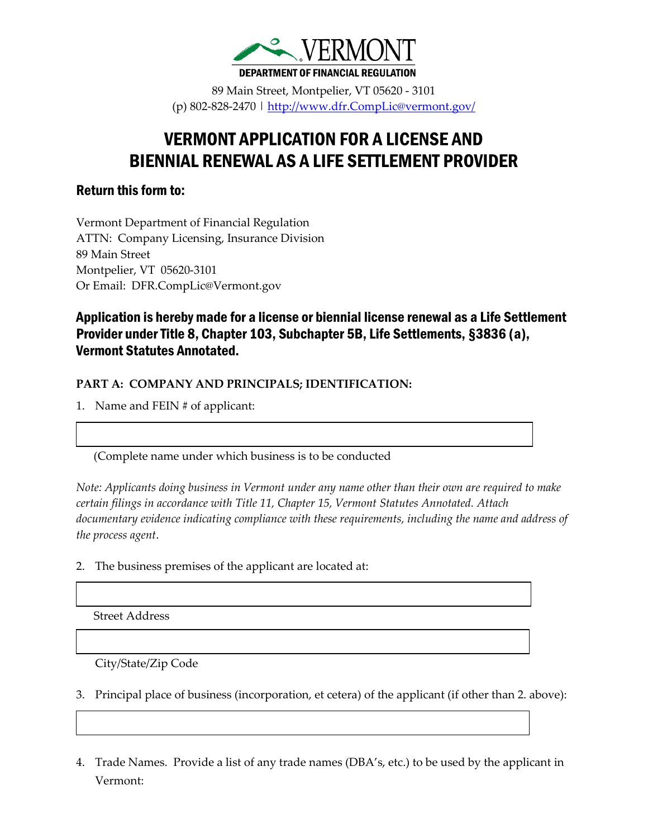

89 Main Street, Montpelier, VT 05620 - 3101 (p) 802-828-2470 |<http://www.dfr.CompLic@vermont.gov/>

# VERMONT APPLICATION FOR A LICENSE AND BIENNIAL RENEWAL AS A LIFE SETTLEMENT PROVIDER

# Return this form to:

Vermont Department of Financial Regulation ATTN: Company Licensing, Insurance Division 89 Main Street Montpelier, VT 05620-3101 Or Email: DFR.CompLic@Vermont.gov

# Application is hereby made for a license or biennial license renewal as a Life Settlement Provider under Title 8, Chapter 103, Subchapter 5B, Life Settlements, §3836 (a), Vermont Statutes Annotated.

#### **PART A: COMPANY AND PRINCIPALS; IDENTIFICATION:**

1. Name and FEIN # of applicant:

(Complete name under which business is to be conducted

*Note: Applicants doing business in Vermont under any name other than their own are required to make certain filings in accordance with Title 11, Chapter 15, Vermont Statutes Annotated. Attach documentary evidence indicating compliance with these requirements, including the name and address of the process agent*.

2. The business premises of the applicant are located at:

Street Address

City/State/Zip Code

- 3. Principal place of business (incorporation, et cetera) of the applicant (if other than 2. above):
- 4. Trade Names. Provide a list of any trade names (DBA's, etc.) to be used by the applicant in Vermont: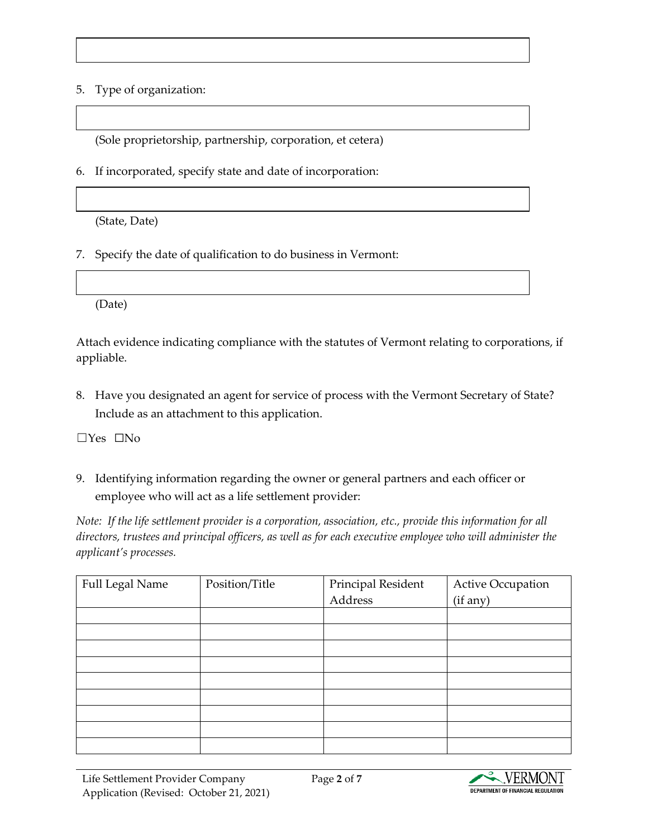#### 5. Type of organization:

(Sole proprietorship, partnership, corporation, et cetera)

6. If incorporated, specify state and date of incorporation:

(State, Date)

7. Specify the date of qualification to do business in Vermont:

(Date)

Attach evidence indicating compliance with the statutes of Vermont relating to corporations, if appliable.

8. Have you designated an agent for service of process with the Vermont Secretary of State? Include as an attachment to this application.

☐Yes ☐No

9. Identifying information regarding the owner or general partners and each officer or employee who will act as a life settlement provider:

*Note: If the life settlement provider is a corporation, association, etc., provide this information for all directors, trustees and principal officers, as well as for each executive employee who will administer the applicant's processes.*

| Full Legal Name | Position/Title | Principal Resident | Active Occupation |
|-----------------|----------------|--------------------|-------------------|
|                 |                | Address            | (if any)          |
|                 |                |                    |                   |
|                 |                |                    |                   |
|                 |                |                    |                   |
|                 |                |                    |                   |
|                 |                |                    |                   |
|                 |                |                    |                   |
|                 |                |                    |                   |
|                 |                |                    |                   |
|                 |                |                    |                   |

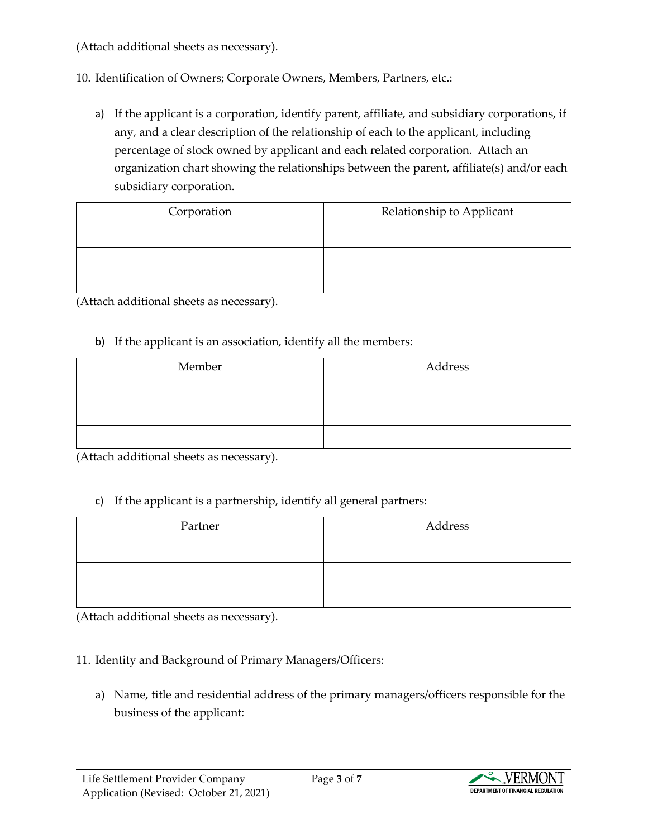(Attach additional sheets as necessary).

## 10. Identification of Owners; Corporate Owners, Members, Partners, etc.:

a) If the applicant is a corporation, identify parent, affiliate, and subsidiary corporations, if any, and a clear description of the relationship of each to the applicant, including percentage of stock owned by applicant and each related corporation. Attach an organization chart showing the relationships between the parent, affiliate(s) and/or each subsidiary corporation.

| Corporation | Relationship to Applicant |  |
|-------------|---------------------------|--|
|             |                           |  |
|             |                           |  |
|             |                           |  |

(Attach additional sheets as necessary).

#### b) If the applicant is an association, identify all the members:

| Member | Address |  |
|--------|---------|--|
|        |         |  |
|        |         |  |
|        |         |  |

(Attach additional sheets as necessary).

## c) If the applicant is a partnership, identify all general partners:

| Partner | Address |
|---------|---------|
|         |         |
|         |         |
|         |         |

(Attach additional sheets as necessary).

# 11. Identity and Background of Primary Managers/Officers:

a) Name, title and residential address of the primary managers/officers responsible for the business of the applicant:

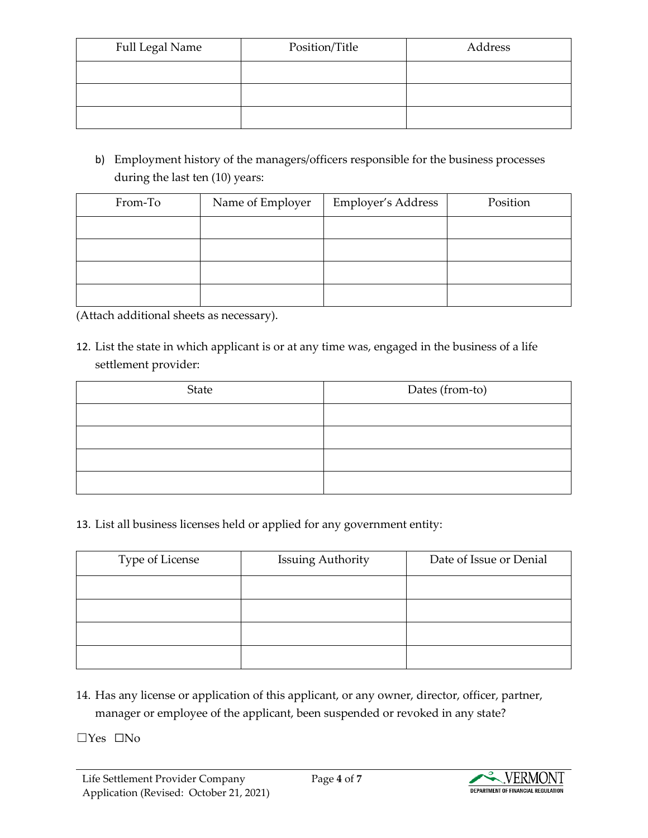| Full Legal Name | Position/Title | Address |
|-----------------|----------------|---------|
|                 |                |         |
|                 |                |         |
|                 |                |         |

b) Employment history of the managers/officers responsible for the business processes during the last ten (10) years:

| From-To | Name of Employer | Employer's Address | Position |
|---------|------------------|--------------------|----------|
|         |                  |                    |          |
|         |                  |                    |          |
|         |                  |                    |          |
|         |                  |                    |          |

(Attach additional sheets as necessary).

12. List the state in which applicant is or at any time was, engaged in the business of a life settlement provider:

| State | Dates (from-to) |
|-------|-----------------|
|       |                 |
|       |                 |
|       |                 |
|       |                 |

13. List all business licenses held or applied for any government entity:

| Type of License | <b>Issuing Authority</b> | Date of Issue or Denial |
|-----------------|--------------------------|-------------------------|
|                 |                          |                         |
|                 |                          |                         |
|                 |                          |                         |
|                 |                          |                         |

14. Has any license or application of this applicant, or any owner, director, officer, partner, manager or employee of the applicant, been suspended or revoked in any state?

☐Yes ☐No

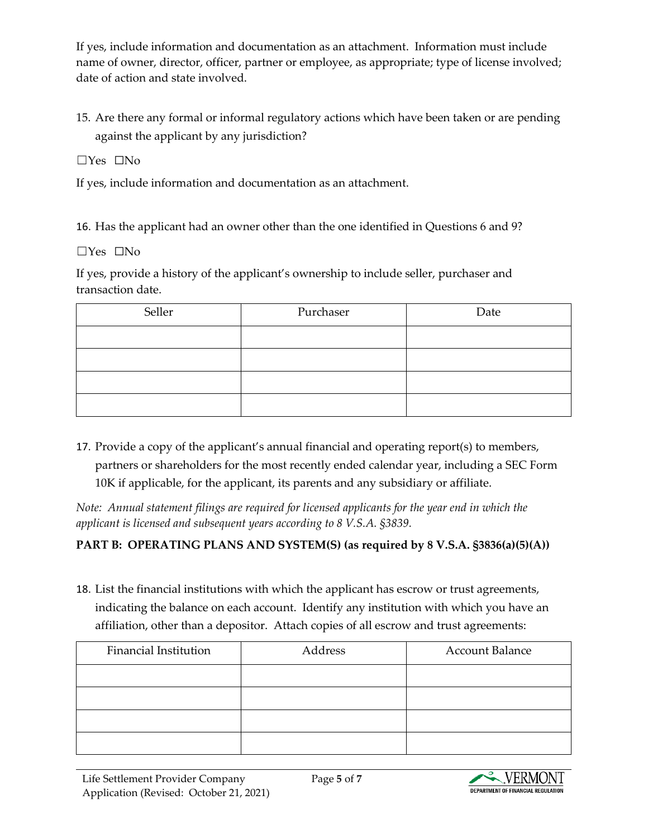If yes, include information and documentation as an attachment. Information must include name of owner, director, officer, partner or employee, as appropriate; type of license involved; date of action and state involved.

15. Are there any formal or informal regulatory actions which have been taken or are pending against the applicant by any jurisdiction?

☐Yes ☐No

If yes, include information and documentation as an attachment.

16. Has the applicant had an owner other than the one identified in Questions 6 and 9?

 $\Box$ Yes  $\Box$ No

If yes, provide a history of the applicant's ownership to include seller, purchaser and transaction date.

| Seller | Purchaser | Date |
|--------|-----------|------|
|        |           |      |
|        |           |      |
|        |           |      |
|        |           |      |

17. Provide a copy of the applicant's annual financial and operating report(s) to members, partners or shareholders for the most recently ended calendar year, including a SEC Form 10K if applicable, for the applicant, its parents and any subsidiary or affiliate.

*Note: Annual statement filings are required for licensed applicants for the year end in which the applicant is licensed and subsequent years according to 8 V.S.A. §3839.*

## **PART B: OPERATING PLANS AND SYSTEM(S) (as required by 8 V.S.A. §3836(a)(5)(A))**

18. List the financial institutions with which the applicant has escrow or trust agreements, indicating the balance on each account. Identify any institution with which you have an affiliation, other than a depositor. Attach copies of all escrow and trust agreements:

| <b>Financial Institution</b> | Address | <b>Account Balance</b> |
|------------------------------|---------|------------------------|
|                              |         |                        |
|                              |         |                        |
|                              |         |                        |
|                              |         |                        |

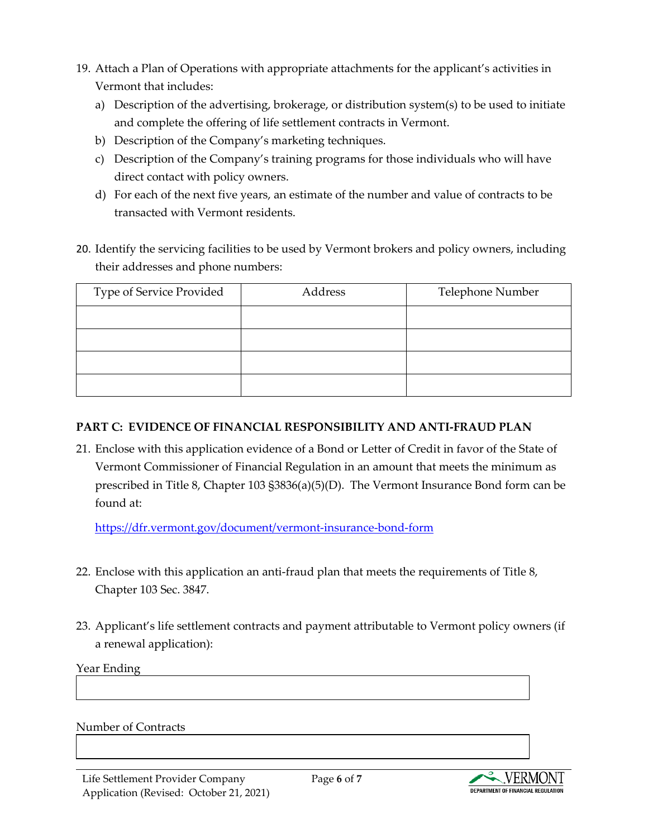- 19. Attach a Plan of Operations with appropriate attachments for the applicant's activities in Vermont that includes:
	- a) Description of the advertising, brokerage, or distribution system(s) to be used to initiate and complete the offering of life settlement contracts in Vermont.
	- b) Description of the Company's marketing techniques.
	- c) Description of the Company's training programs for those individuals who will have direct contact with policy owners.
	- d) For each of the next five years, an estimate of the number and value of contracts to be transacted with Vermont residents.
- 20. Identify the servicing facilities to be used by Vermont brokers and policy owners, including their addresses and phone numbers:

| Type of Service Provided | Address | Telephone Number |
|--------------------------|---------|------------------|
|                          |         |                  |
|                          |         |                  |
|                          |         |                  |
|                          |         |                  |

## **PART C: EVIDENCE OF FINANCIAL RESPONSIBILITY AND ANTI-FRAUD PLAN**

21. Enclose with this application evidence of a Bond or Letter of Credit in favor of the State of Vermont Commissioner of Financial Regulation in an amount that meets the minimum as prescribed in Title 8, Chapter 103 §3836(a)(5)(D). The Vermont Insurance Bond form can be found at:

<https://dfr.vermont.gov/document/vermont-insurance-bond-form>

- 22. Enclose with this application an anti-fraud plan that meets the requirements of Title 8, Chapter 103 Sec. 3847.
- 23. Applicant's life settlement contracts and payment attributable to Vermont policy owners (if a renewal application):

Year Ending

#### Number of Contracts